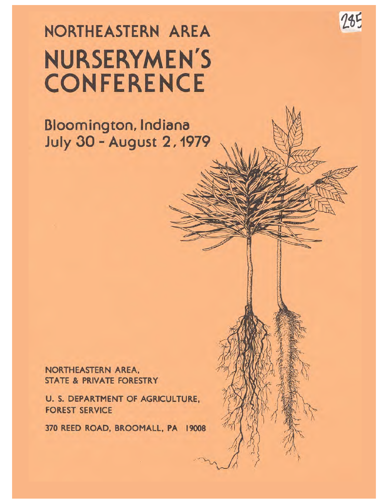# NORTHEASTERN AREA **NURSERYMEN'S CONFERENCE**

 $785$ 

Bloomington, Indiana **July 30 - August 2, 1979** 

NORTHEASTERN AREA. **STATE & PRIVATE FORESTRY** 

**U. S. DEPARTMENT OF AGRICULTURE. FOREST SERVICE** 

370 REED ROAD, BROOMALL, PA 19008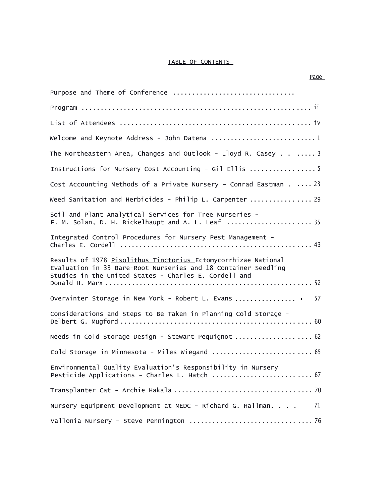#### TABLE OF CONTENTS

| Purpose and Theme of Conference                                                                                                                                                           |
|-------------------------------------------------------------------------------------------------------------------------------------------------------------------------------------------|
|                                                                                                                                                                                           |
|                                                                                                                                                                                           |
| Welcome and Keynote Address - John Datena 1                                                                                                                                               |
| The Northeastern Area, Changes and Outlook - Lloyd R. Casey $\ldots$ 3                                                                                                                    |
| Instructions for Nursery Cost Accounting - Gil Ellis 5                                                                                                                                    |
| Cost Accounting Methods of a Private Nursery - Conrad Eastman 23                                                                                                                          |
| Weed Sanitation and Herbicides - Philip L. Carpenter  29                                                                                                                                  |
| Soil and Plant Analytical Services for Tree Nurseries -<br>F. M. Solan, D. H. Bickelhaupt and A. L. Leaf  35                                                                              |
| Integrated Control Procedures for Nursery Pest Management -                                                                                                                               |
| Results of 1978 Pisolithus Tinctorius Ectomycorrhizae National<br>Evaluation in 33 Bare-Root Nurseries and 18 Container Seedling<br>Studies in the United States - Charles E. Cordell and |
| Overwinter Storage in New York - Robert L. Evans  . 57                                                                                                                                    |
| Considerations and Steps to Be Taken in Planning Cold Storage -                                                                                                                           |
| Needs in Cold Storage Design - Stewart Pequignot  62                                                                                                                                      |
| Cold Storage in Minnesota - Miles Wiegand  65                                                                                                                                             |
| Environmental Quality Evaluation's Responsibility in Nursery<br>Pesticide Applications - Charles L. Hatch  67                                                                             |
|                                                                                                                                                                                           |
| Nursery Equipment Development at MEDC - Richard G. Hallman.<br>71                                                                                                                         |
|                                                                                                                                                                                           |

#### Page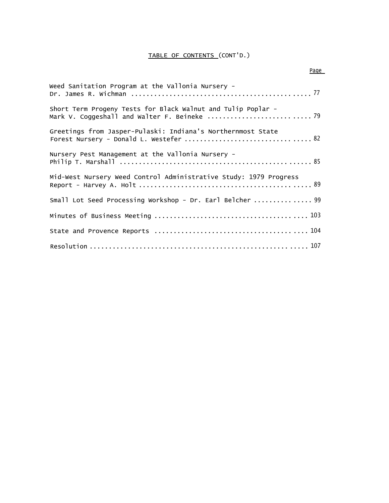## TABLE OF CONTENTS (CONT'D.)

| Weed Sanitation Program at the Vallonia Nursery -                 |
|-------------------------------------------------------------------|
| Short Term Progeny Tests for Black Walnut and Tulip Poplar -      |
| Greetings from Jasper-Pulaski: Indiana's Northernmost State       |
| Nursery Pest Management at the Vallonia Nursery -                 |
| Mid-West Nursery Weed Control Administrative Study: 1979 Progress |
| Small Lot Seed Processing Workshop - Dr. Earl Belcher  99         |
|                                                                   |
|                                                                   |
|                                                                   |

#### Page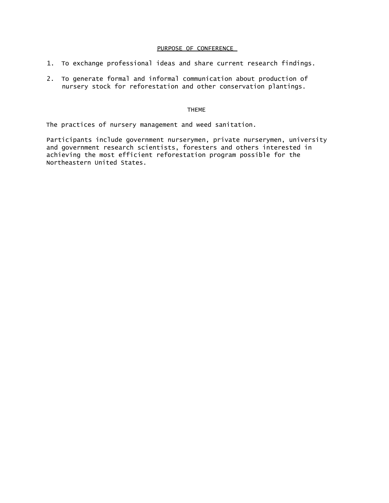#### PURPOSE OF CONFERENCE

- 1. To exchange professional ideas and share current research findings.
- 2. To generate formal and informal communication about production of nursery stock for reforestation and other conservation plantings.

#### THEME

The practices of nursery management and weed sanitation.

Participants include government nurserymen, private nurserymen, university and government research scientists, foresters and others interested in achieving the most efficient reforestation program possible for the Northeastern United States.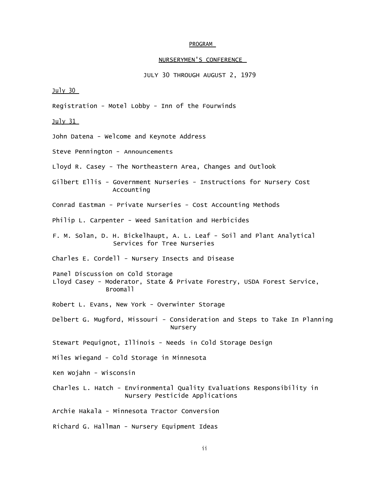#### PROGRAM

### NURSERYMEN'S CONFERENCE

JULY 30 THROUGH AUGUST 2, 1979

 $July 30$ 

Registration - Motel Lobby - Inn of the Fourwinds

July  $31$ 

John Datena - Welcome and Keynote Address

Steve Pennington - Announcements

Lloyd R. Casey - The Northeastern Area, Changes and Outlook

Gilbert Ellis - Government Nurseries - Instructions for Nursery Cost Accounting

Conrad Eastman - Private Nurseries - Cost Accounting Methods

Philip L. Carpenter - Weed Sanitation and Herbicides

F. M. Solan, D. H. Bickelhaupt, A. L. Leaf - Soil and Plant Analytical Services for Tree Nurseries

Charles E. Cordell - Nursery Insects and Disease

Panel Discussion on Cold Storage Lloyd Casey - Moderator, State & Private Forestry, USDA Forest Service, Broomall

Robert L. Evans, New York - Overwinter Storage

Delbert G. Mugford, Missouri - Consideration and Steps to Take In Planning Nursery

Stewart Pequignot, Illinois - Needs in Cold Storage Design

Miles Wiegand - Cold Storage in Minnesota

Ken Wojahn - Wisconsin

Charles L. Hatch - Environmental Quality Evaluations Responsibility in Nursery Pesticide Applications

Archie Hakala - Minnesota Tractor Conversion

Richard G. Hallman - Nursery Equipment Ideas